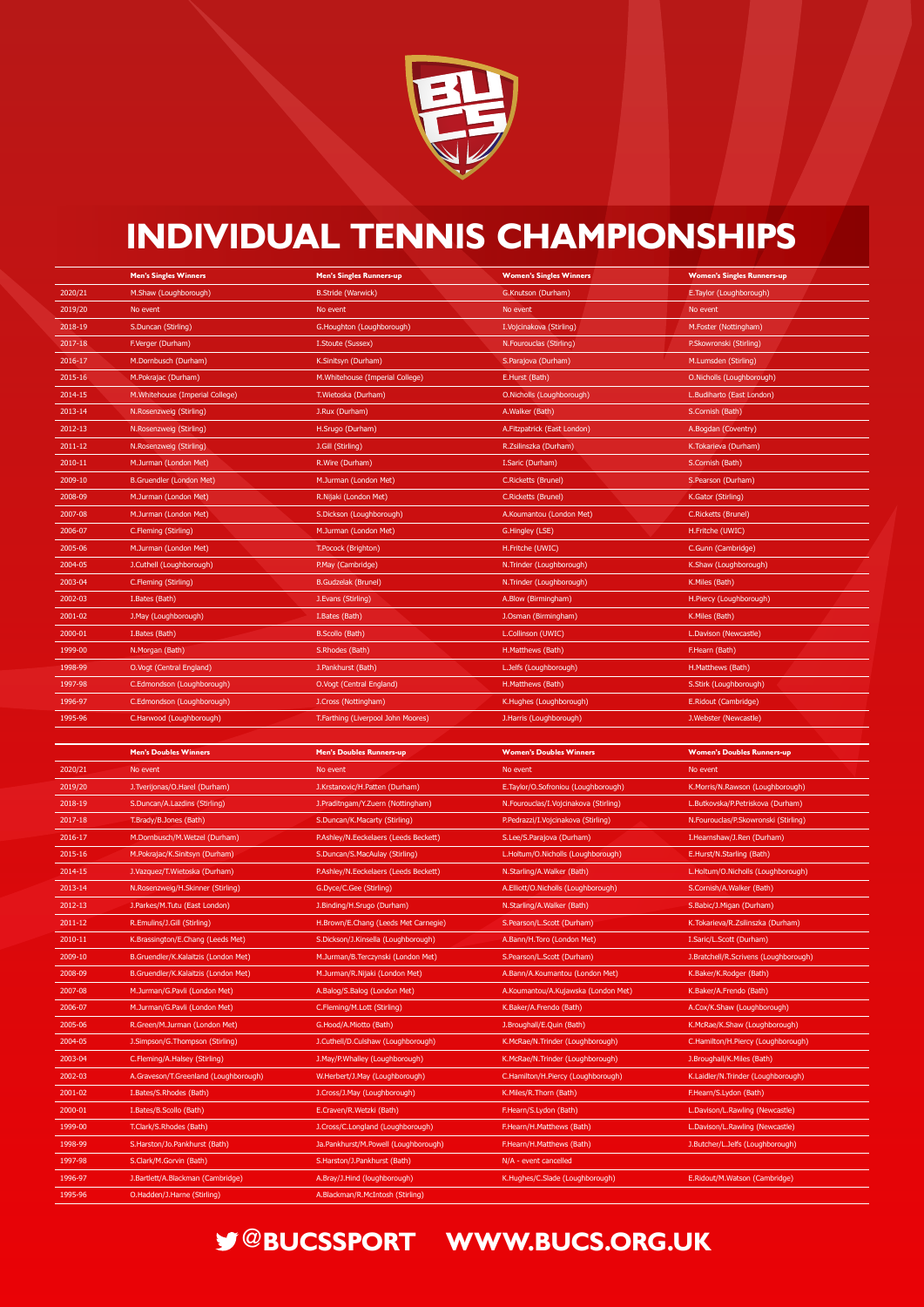

## **INDIVIDUAL TENNIS CHAMPIONSHIPS**

## **@BUCSSPORT WWW.BUCS.ORG.UK**

|         | <b>Men's Singles Winners</b>     | <b>Men's Singles Runners-up</b>  | <b>Women's Singles Winners</b> | <b>Women's Singles Runners-up</b> |
|---------|----------------------------------|----------------------------------|--------------------------------|-----------------------------------|
| 2020/21 | M.Shaw (Loughborough)            | <b>B.Stride (Warwick)</b>        | G.Knutson (Durham)             | E. Taylor (Loughborough)          |
| 2019/20 | No event                         | No event                         | No event                       | No event                          |
| 2018-19 | <b>S.Duncan (Stirling)</b>       | G. Houghton (Loughborough)       | I. Vojcinakova (Stirling)      | M.Foster (Nottingham)             |
| 2017-18 | F.Verger (Durham)                | I.Stoute (Sussex)                | N.Fourouclas (Stirling)        | P.Skowronski (Stirling)           |
| 2016-17 | M.Dornbusch (Durham)             | K.Sinitsyn (Durham)              | S.Parajova (Durham)            | M.Lumsden (Stirling)              |
| 2015-16 | M.Pokrajac (Durham)              | M. Whitehouse (Imperial College) | E.Hurst (Bath)                 | O. Nicholls (Loughborough)        |
| 2014-15 | M. Whitehouse (Imperial College) | T. Wietoska (Durham)             | O. Nicholls (Loughborough)     | L.Budiharto (East London)         |
| 2013-14 | N.Rosenzweig (Stirling)          | J.Rux (Durham)                   | A. Walker (Bath)               | S.Cornish (Bath)                  |
| 2012-13 | N.Rosenzweig (Stirling)          | H.Srugo (Durham)                 | A.Fitzpatrick (East London)    | A.Bogdan (Coventry)               |
| 2011-12 | N. Rosenzweig (Stirling)         | J.Gill (Stirling)                | R.Zsilinszka (Durham)          | K. Tokarieva (Durham)             |
| 2010-11 | M.Jurman (London Met)            | R. Wire (Durham)                 | I.Saric (Durham)               | S.Cornish (Bath)                  |
| 2009-10 | B.Gruendler (London Met)         | M.Jurman (London Met)            | <b>C.Ricketts (Brunel)</b>     | S. Pearson (Durham)               |
| 2008-09 | M.Jurman (London Met)            | R.Nijaki (London Met)            | <b>C.Ricketts (Brunel)</b>     | K.Gator (Stirling)                |
| 2007-08 | M.Jurman (London Met)            | S.Dickson (Loughborough)         | A.Koumantou (London Met)       | <b>C.Ricketts (Brunel)</b>        |
| 2006-07 | C.Fleming (Stirling)             | M.Jurman (London Met)            | G.Hingley (LSE)                | H.Fritche (UWIC)                  |
| 2005-06 | M.Jurman (London Met)            | T.Pocock (Brighton)              | H.Fritche (UWIC)               | C.Gunn (Cambridge)                |
| 2004-05 | J.Cuthell (Loughborough)         | P.May (Cambridge)                | N. Trinder (Loughborough)      | K.Shaw (Loughborough)             |
| 2003-04 | C.Fleming (Stirling)             | <b>B.Gudzelak (Brunel)</b>       | N. Trinder (Loughborough)      | K.Miles (Bath)                    |
| 2002-03 | I. Bates (Bath)                  | J. Evans (Stirling)              | A.Blow (Birmingham)            | H.Piercy (Loughborough)           |
| 2001-02 | J.May (Loughborough)             | I.Bates (Bath)                   | J.Osman (Birmingham)           | K.Miles (Bath)                    |
| 2000-01 | I. Bates (Bath)                  | B.Scollo (Bath)                  | L.Collinson (UWIC)             | L.Davison (Newcastle)             |
| 1999-00 | N.Morgan (Bath)                  | S.Rhodes (Bath)                  | H.Matthews (Bath)              | F.Hearn (Bath)                    |
| 1998-99 | O.Vogt (Central England)         | J.Pankhurst (Bath)               | L.Jelfs (Loughborough)         | H.Matthews (Bath)                 |
| 1997-98 | C.Edmondson (Loughborough)       | O.Vogt (Central England)         | H.Matthews (Bath)              | S.Stirk (Loughborough)            |

| 1996-97 | C.Edmondson (Loughborough) | J.Cross (Nottingham)               | K.Hughes (Loughborough) | E.Ridout (Cambridge)  |  |
|---------|----------------------------|------------------------------------|-------------------------|-----------------------|--|
| 1995-96 | C.Harwood (Loughborough)   | T.Farthing (Liverpool John Moores) | J.Harris (Loughborough) | J.Webster (Newcastle) |  |

|             | <b>Men's Doubles Winners</b>          | <b>Men's Doubles Runners-up</b>        | <b>Women's Doubles Winners</b>        | <b>Women's Doubles Runners-up</b>     |
|-------------|---------------------------------------|----------------------------------------|---------------------------------------|---------------------------------------|
| 2020/21     | No event                              | No event                               | No event                              | No event                              |
| 2019/20     | J. Tverijonas/O. Harel (Durham)       | J.Krstanovic/H.Patten (Durham)         | E.Taylor/O.Sofroniou (Loughborough)   | K.Morris/N.Rawson (Loughborough)      |
| 2018-19     | S.Duncan/A.Lazdins (Stirling)         | J.Praditngam/Y.Zuern (Nottingham)      | N.Fourouclas/I.Vojcinakova (Stirling) | L.Butkovska/P.Petriskova (Durham)     |
| 2017-18     | T.Brady/B.Jones (Bath)                | S.Duncan/K.Macarty (Stirling)          | P.Pedrazzi/I.Vojcinakova (Stirling)   | N.Fourouclas/P.Skowronski (Stirling)  |
| 2016-17     | M.Dornbusch/M.Wetzel (Durham)         | P.Ashley/N.Eeckelaers (Leeds Beckett)  | S.Lee/S.Parajova (Durham)             | I. Hearnshaw/J. Ren (Durham)          |
| 2015-16     | M.Pokrajac/K.Sinitsyn (Durham)        | S.Duncan/S.MacAulay (Stirling)         | L.Holtum/O.Nicholls (Loughborough)    | E.Hurst/N.Starling (Bath)             |
| 2014-15     | J.Vazquez/T.Wietoska (Durham)         | P.Ashley/N.Eeckelaers (Leeds Beckett)  | N.Starling/A.Walker (Bath)            | L.Holtum/O.Nicholls (Loughborough)    |
| 2013-14     | N.Rosenzweig/H.Skinner (Stirling)     | G.Dyce/C.Gee (Stirling)                | A.Elliott/O.Nicholls (Loughborough)   | S.Cornish/A.Walker (Bath)             |
| 2012-13     | J.Parkes/M.Tutu (East London)         | J.Binding/H.Srugo (Durham)             | N.Starling/A.Walker (Bath)            | S.Babic/J.Migan (Durham)              |
| $2011 - 12$ | R.Emulins/J.Gill (Stirling)           | H. Brown/E. Chang (Leeds Met Carnegie) | S.Pearson/L.Scott (Durham)            | K.Tokarieva/R.Zsilinszka (Durham)     |
| 2010-11     | K.Brassington/E.Chang (Leeds Met)     | S.Dickson/J.Kinsella (Loughborough)    | A.Bann/H.Toro (London Met)            | I.Saric/L.Scott (Durham)              |
| 2009-10     | B.Gruendler/K.Kalaitzis (London Met)  | M.Jurman/B.Terczynski (London Met)     | S.Pearson/L.Scott (Durham)            | J.Bratchell/R.Scrivens (Loughborough) |
| 2008-09     | B.Gruendler/K.Kalaitzis (London Met)  | M.Jurman/R.Nijaki (London Met)         | A.Bann/A.Koumantou (London Met)       | K.Baker/K.Rodger (Bath)               |
| 2007-08     | M.Jurman/G.Pavli (London Met)         | A.Balog/S.Balog (London Met)           | A.Koumantou/A.Kujawska (London Met)   | K.Baker/A.Frendo (Bath)               |
| 2006-07     | M.Jurman/G.Pavli (London Met)         | C.Fleming/M.Lott (Stirling)            | K.Baker/A.Frendo (Bath)               | A.Cox/K.Shaw (Loughborough)           |
| 2005-06     | R.Green/M.Jurman (London Met)         | G.Hood/A.Miotto (Bath)                 | J.Broughall/E.Quin (Bath)             | K.McRae/K.Shaw (Loughborough)         |
| 2004-05     | J.Simpson/G.Thompson (Stirling)       | J.Cuthell/D.Culshaw (Loughborough)     | K.McRae/N.Trinder (Loughborough)      | C.Hamilton/H.Piercy (Loughborough)    |
| 2003-04     | C.Fleming/A.Halsey (Stirling)         | J.May/P.Whalley (Loughborough)         | K.McRae/N.Trinder (Loughborough)      | J.Broughall/K.Miles (Bath)            |
| 2002-03     | A.Graveson/T.Greenland (Loughborough) | W.Herbert/J.May (Loughborough)         | C.Hamilton/H.Piercy (Loughborough)    | K.Laidler/N.Trinder (Loughborough)    |
| 2001-02     | I.Bates/S.Rhodes (Bath)               | J.Cross/J.May (Loughborough)           | K.Miles/R.Thorn (Bath)                | F.Hearn/S.Lydon (Bath)                |
| 2000-01     | I.Bates/B.Scollo (Bath)               | E.Craven/R.Wetzki (Bath)               | F.Hearn/S.Lydon (Bath)                | L.Davison/L.Rawling (Newcastle)       |
| 1999-00     | T.Clark/S.Rhodes (Bath)               | J.Cross/C.Longland (Loughborough)      | <b>F.Hearn/H.Matthews (Bath)</b>      | L.Davison/L.Rawling (Newcastle)       |
| 1998-99     | S.Harston/Jo.Pankhurst (Bath)         | Ja.Pankhurst/M.Powell (Loughborough)   | F.Hearn/H.Matthews (Bath)             | J.Butcher/L.Jelfs (Loughborough)      |
| 1997-98     | S.Clark/M.Gorvin (Bath)               | S.Harston/J.Pankhurst (Bath)           | N/A - event cancelled                 |                                       |
| 1996-97     | J.Bartlett/A.Blackman (Cambridge)     | A.Bray/J.Hind (loughborough)           | K.Hughes/C.Slade (Loughborough)       | E.Ridout/M.Watson (Cambridge)         |
| 1995-96     | O.Hadden/J.Harne (Stirling)           | A.Blackman/R.McIntosh (Stirling)       |                                       |                                       |